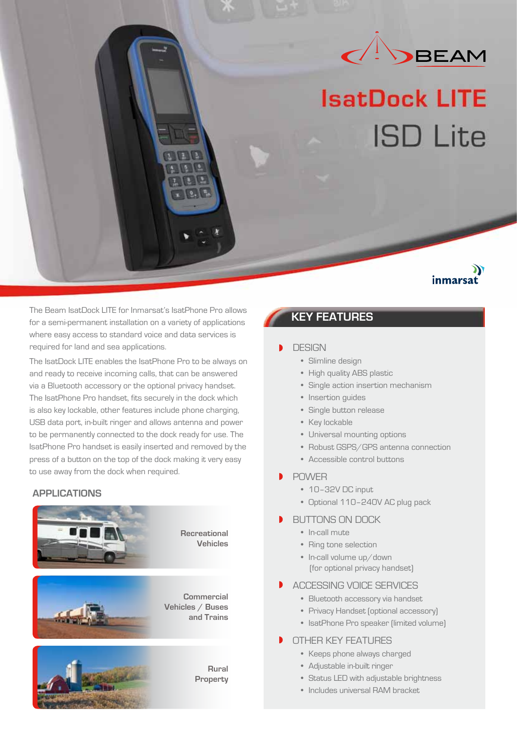

# **IsatDock LITE ISD Lite**

## inmarsat

The Beam IsatDock LITE for Inmarsat's IsatPhone Pro allows<br>**KEY FEATURES** for a semi-permanent installation on a variety of applications where easy access to standard voice and data services is required for land and sea applications.

The IsatDock LITE enables the IsatPhone Pro to be always on and ready to receive incoming calls, that can be answered via a Bluetooth accessory or the optional privacy handset. The IsatPhone Pro handset, fits securely in the dock which is also key lockable, other features include phone charging, USB data port, in-built ringer and allows antenna and power to be permanently connected to the dock ready for use. The IsatPhone Pro handset is easily inserted and removed by the press of a button on the top of the dock making it very easy to use away from the dock when required.

## **APPLICATIONS**



### **DESIGN**

- Slimline design
- High quality ABS plastic
- Single action insertion mechanism
- Insertion guides
- Single button release
- Key lockable
- Universal mounting options
- Robust GSPS/GPS antenna connection
- Accessible control buttons
- POWER
	- 10–32V DC input
	- Optional 110–240V AC plug pack

### BUTTONS ON DOCK

- In-call mute
- Ring tone selection
- In-call volume up/down (for optional privacy handset)
- ACCESSING VOICE SERVICES
	- Bluetooth accessory via handset
	- Privacy Handset (optional accessory)
	- IsatPhone Pro speaker (limited volume)
- b OTHER KEY FEATURES
	- Keeps phone always charged
	- Adjustable in-built ringer
	- Status LED with adjustable brightness
	- Includes universal RAM bracket